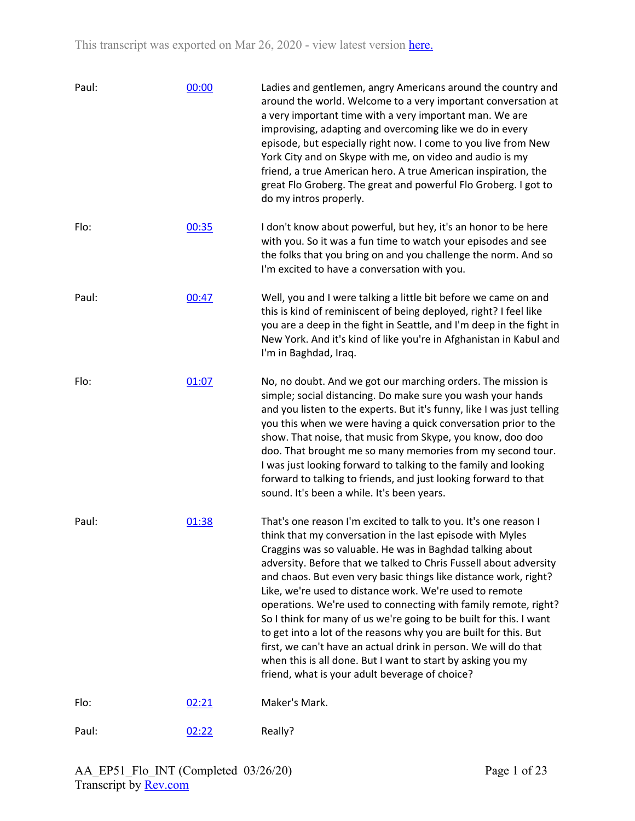| Paul: | 00:00 | Ladies and gentlemen, angry Americans around the country and<br>around the world. Welcome to a very important conversation at<br>a very important time with a very important man. We are<br>improvising, adapting and overcoming like we do in every<br>episode, but especially right now. I come to you live from New<br>York City and on Skype with me, on video and audio is my<br>friend, a true American hero. A true American inspiration, the<br>great Flo Groberg. The great and powerful Flo Groberg. I got to<br>do my intros properly.                                                                                                                                                                                                                                              |
|-------|-------|------------------------------------------------------------------------------------------------------------------------------------------------------------------------------------------------------------------------------------------------------------------------------------------------------------------------------------------------------------------------------------------------------------------------------------------------------------------------------------------------------------------------------------------------------------------------------------------------------------------------------------------------------------------------------------------------------------------------------------------------------------------------------------------------|
| Flo:  | 00:35 | I don't know about powerful, but hey, it's an honor to be here<br>with you. So it was a fun time to watch your episodes and see<br>the folks that you bring on and you challenge the norm. And so<br>I'm excited to have a conversation with you.                                                                                                                                                                                                                                                                                                                                                                                                                                                                                                                                              |
| Paul: | 00:47 | Well, you and I were talking a little bit before we came on and<br>this is kind of reminiscent of being deployed, right? I feel like<br>you are a deep in the fight in Seattle, and I'm deep in the fight in<br>New York. And it's kind of like you're in Afghanistan in Kabul and<br>I'm in Baghdad, Iraq.                                                                                                                                                                                                                                                                                                                                                                                                                                                                                    |
| Flo:  | 01:07 | No, no doubt. And we got our marching orders. The mission is<br>simple; social distancing. Do make sure you wash your hands<br>and you listen to the experts. But it's funny, like I was just telling<br>you this when we were having a quick conversation prior to the<br>show. That noise, that music from Skype, you know, doo doo<br>doo. That brought me so many memories from my second tour.<br>I was just looking forward to talking to the family and looking<br>forward to talking to friends, and just looking forward to that<br>sound. It's been a while. It's been years.                                                                                                                                                                                                        |
| Paul: | 01:38 | That's one reason I'm excited to talk to you. It's one reason I<br>think that my conversation in the last episode with Myles<br>Craggins was so valuable. He was in Baghdad talking about<br>adversity. Before that we talked to Chris Fussell about adversity<br>and chaos. But even very basic things like distance work, right?<br>Like, we're used to distance work. We're used to remote<br>operations. We're used to connecting with family remote, right?<br>So I think for many of us we're going to be built for this. I want<br>to get into a lot of the reasons why you are built for this. But<br>first, we can't have an actual drink in person. We will do that<br>when this is all done. But I want to start by asking you my<br>friend, what is your adult beverage of choice? |
| Flo:  | 02:21 | Maker's Mark.                                                                                                                                                                                                                                                                                                                                                                                                                                                                                                                                                                                                                                                                                                                                                                                  |
| Paul: | 02:22 | Really?                                                                                                                                                                                                                                                                                                                                                                                                                                                                                                                                                                                                                                                                                                                                                                                        |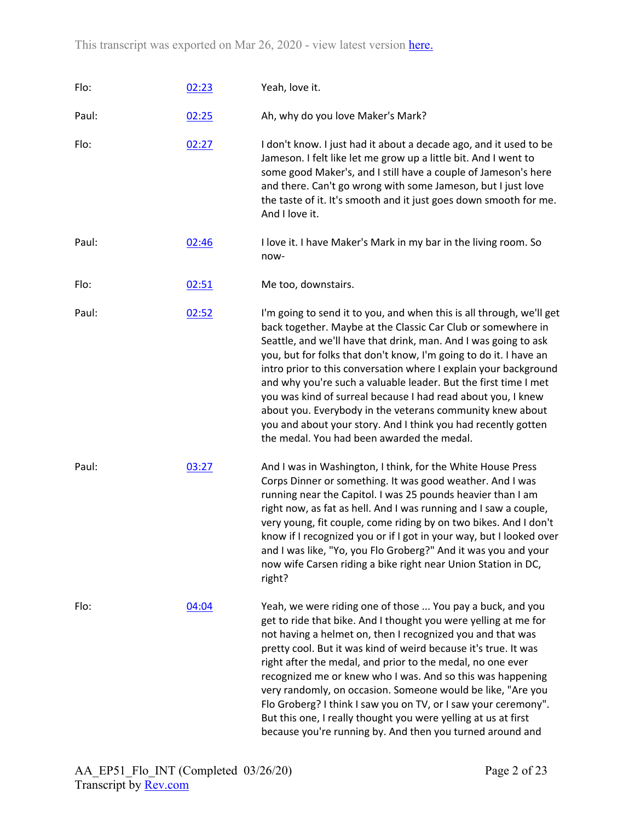| Flo:  | 02:23 | Yeah, love it.                                                                                                                                                                                                                                                                                                                                                                                                                                                                                                                                                                                                                                                  |
|-------|-------|-----------------------------------------------------------------------------------------------------------------------------------------------------------------------------------------------------------------------------------------------------------------------------------------------------------------------------------------------------------------------------------------------------------------------------------------------------------------------------------------------------------------------------------------------------------------------------------------------------------------------------------------------------------------|
| Paul: | 02:25 | Ah, why do you love Maker's Mark?                                                                                                                                                                                                                                                                                                                                                                                                                                                                                                                                                                                                                               |
| Flo:  | 02:27 | I don't know. I just had it about a decade ago, and it used to be<br>Jameson. I felt like let me grow up a little bit. And I went to<br>some good Maker's, and I still have a couple of Jameson's here<br>and there. Can't go wrong with some Jameson, but I just love<br>the taste of it. It's smooth and it just goes down smooth for me.<br>And I love it.                                                                                                                                                                                                                                                                                                   |
| Paul: | 02:46 | I love it. I have Maker's Mark in my bar in the living room. So<br>now-                                                                                                                                                                                                                                                                                                                                                                                                                                                                                                                                                                                         |
| Flo:  | 02:51 | Me too, downstairs.                                                                                                                                                                                                                                                                                                                                                                                                                                                                                                                                                                                                                                             |
| Paul: | 02:52 | I'm going to send it to you, and when this is all through, we'll get<br>back together. Maybe at the Classic Car Club or somewhere in<br>Seattle, and we'll have that drink, man. And I was going to ask<br>you, but for folks that don't know, I'm going to do it. I have an<br>intro prior to this conversation where I explain your background<br>and why you're such a valuable leader. But the first time I met<br>you was kind of surreal because I had read about you, I knew<br>about you. Everybody in the veterans community knew about<br>you and about your story. And I think you had recently gotten<br>the medal. You had been awarded the medal. |
| Paul: | 03:27 | And I was in Washington, I think, for the White House Press<br>Corps Dinner or something. It was good weather. And I was<br>running near the Capitol. I was 25 pounds heavier than I am<br>right now, as fat as hell. And I was running and I saw a couple,<br>very young, fit couple, come riding by on two bikes. And I don't<br>know if I recognized you or if I got in your way, but I looked over<br>and I was like, "Yo, you Flo Groberg?" And it was you and your<br>now wife Carsen riding a bike right near Union Station in DC,<br>right?                                                                                                             |
| Flo:  | 04:04 | Yeah, we were riding one of those  You pay a buck, and you<br>get to ride that bike. And I thought you were yelling at me for<br>not having a helmet on, then I recognized you and that was<br>pretty cool. But it was kind of weird because it's true. It was<br>right after the medal, and prior to the medal, no one ever<br>recognized me or knew who I was. And so this was happening<br>very randomly, on occasion. Someone would be like, "Are you<br>Flo Groberg? I think I saw you on TV, or I saw your ceremony".<br>But this one, I really thought you were yelling at us at first<br>because you're running by. And then you turned around and      |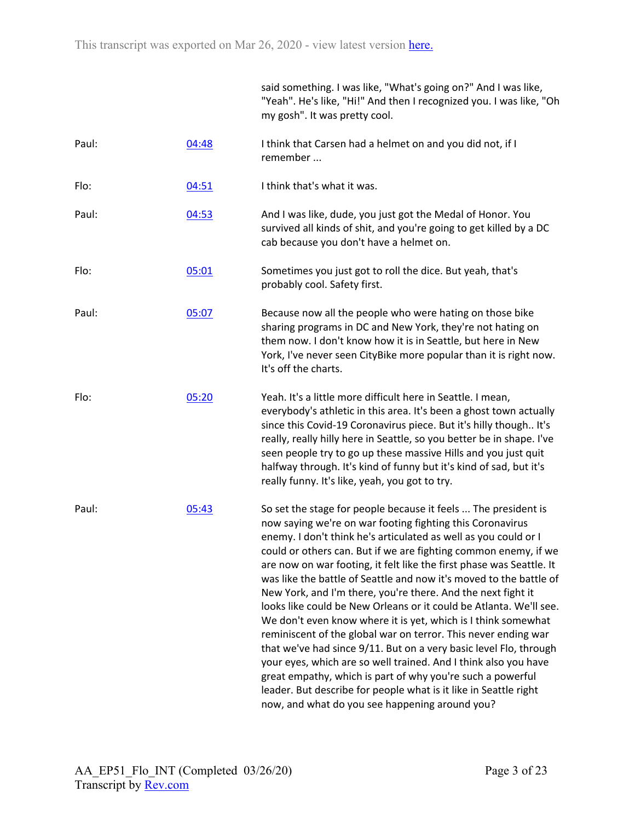|       |       | said something. I was like, "What's going on?" And I was like,<br>"Yeah". He's like, "Hi!" And then I recognized you. I was like, "Oh<br>my gosh". It was pretty cool.                                                                                                                                                                                                                                                                                                                                                                                                                                                                                                                                                                                                                                                                                                                                                                                                                                               |
|-------|-------|----------------------------------------------------------------------------------------------------------------------------------------------------------------------------------------------------------------------------------------------------------------------------------------------------------------------------------------------------------------------------------------------------------------------------------------------------------------------------------------------------------------------------------------------------------------------------------------------------------------------------------------------------------------------------------------------------------------------------------------------------------------------------------------------------------------------------------------------------------------------------------------------------------------------------------------------------------------------------------------------------------------------|
| Paul: | 04:48 | I think that Carsen had a helmet on and you did not, if I<br>remember                                                                                                                                                                                                                                                                                                                                                                                                                                                                                                                                                                                                                                                                                                                                                                                                                                                                                                                                                |
| Flo:  | 04:51 | I think that's what it was.                                                                                                                                                                                                                                                                                                                                                                                                                                                                                                                                                                                                                                                                                                                                                                                                                                                                                                                                                                                          |
| Paul: | 04:53 | And I was like, dude, you just got the Medal of Honor. You<br>survived all kinds of shit, and you're going to get killed by a DC<br>cab because you don't have a helmet on.                                                                                                                                                                                                                                                                                                                                                                                                                                                                                                                                                                                                                                                                                                                                                                                                                                          |
| Flo:  | 05:01 | Sometimes you just got to roll the dice. But yeah, that's<br>probably cool. Safety first.                                                                                                                                                                                                                                                                                                                                                                                                                                                                                                                                                                                                                                                                                                                                                                                                                                                                                                                            |
| Paul: | 05:07 | Because now all the people who were hating on those bike<br>sharing programs in DC and New York, they're not hating on<br>them now. I don't know how it is in Seattle, but here in New<br>York, I've never seen CityBike more popular than it is right now.<br>It's off the charts.                                                                                                                                                                                                                                                                                                                                                                                                                                                                                                                                                                                                                                                                                                                                  |
| Flo:  | 05:20 | Yeah. It's a little more difficult here in Seattle. I mean,<br>everybody's athletic in this area. It's been a ghost town actually<br>since this Covid-19 Coronavirus piece. But it's hilly though It's<br>really, really hilly here in Seattle, so you better be in shape. I've<br>seen people try to go up these massive Hills and you just quit<br>halfway through. It's kind of funny but it's kind of sad, but it's<br>really funny. It's like, yeah, you got to try.                                                                                                                                                                                                                                                                                                                                                                                                                                                                                                                                            |
| Paul: | 05:43 | So set the stage for people because it feels  The president is<br>now saying we're on war footing fighting this Coronavirus<br>enemy. I don't think he's articulated as well as you could or I<br>could or others can. But if we are fighting common enemy, if we<br>are now on war footing, it felt like the first phase was Seattle. It<br>was like the battle of Seattle and now it's moved to the battle of<br>New York, and I'm there, you're there. And the next fight it<br>looks like could be New Orleans or it could be Atlanta. We'll see.<br>We don't even know where it is yet, which is I think somewhat<br>reminiscent of the global war on terror. This never ending war<br>that we've had since 9/11. But on a very basic level Flo, through<br>your eyes, which are so well trained. And I think also you have<br>great empathy, which is part of why you're such a powerful<br>leader. But describe for people what is it like in Seattle right<br>now, and what do you see happening around you? |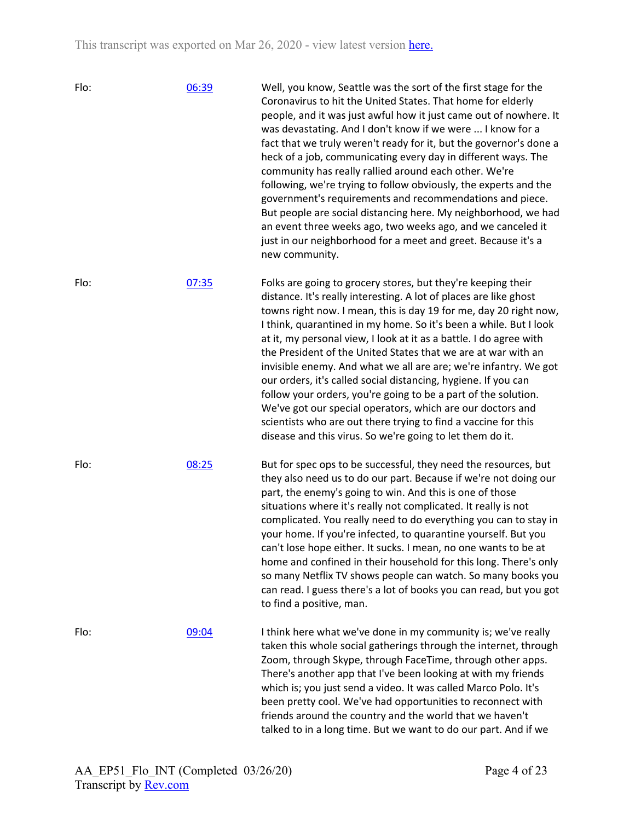| Flo: | 06:39 | Well, you know, Seattle was the sort of the first stage for the<br>Coronavirus to hit the United States. That home for elderly<br>people, and it was just awful how it just came out of nowhere. It<br>was devastating. And I don't know if we were  I know for a<br>fact that we truly weren't ready for it, but the governor's done a<br>heck of a job, communicating every day in different ways. The<br>community has really rallied around each other. We're<br>following, we're trying to follow obviously, the experts and the<br>government's requirements and recommendations and piece.<br>But people are social distancing here. My neighborhood, we had<br>an event three weeks ago, two weeks ago, and we canceled it<br>just in our neighborhood for a meet and greet. Because it's a<br>new community.   |
|------|-------|-------------------------------------------------------------------------------------------------------------------------------------------------------------------------------------------------------------------------------------------------------------------------------------------------------------------------------------------------------------------------------------------------------------------------------------------------------------------------------------------------------------------------------------------------------------------------------------------------------------------------------------------------------------------------------------------------------------------------------------------------------------------------------------------------------------------------|
| Flo: | 07:35 | Folks are going to grocery stores, but they're keeping their<br>distance. It's really interesting. A lot of places are like ghost<br>towns right now. I mean, this is day 19 for me, day 20 right now,<br>I think, quarantined in my home. So it's been a while. But I look<br>at it, my personal view, I look at it as a battle. I do agree with<br>the President of the United States that we are at war with an<br>invisible enemy. And what we all are are; we're infantry. We got<br>our orders, it's called social distancing, hygiene. If you can<br>follow your orders, you're going to be a part of the solution.<br>We've got our special operators, which are our doctors and<br>scientists who are out there trying to find a vaccine for this<br>disease and this virus. So we're going to let them do it. |
| Flo: | 08:25 | But for spec ops to be successful, they need the resources, but<br>they also need us to do our part. Because if we're not doing our<br>part, the enemy's going to win. And this is one of those<br>situations where it's really not complicated. It really is not<br>complicated. You really need to do everything you can to stay in<br>your home. If you're infected, to quarantine yourself. But you<br>can't lose hope either. It sucks. I mean, no one wants to be at<br>home and confined in their household for this long. There's only<br>so many Netflix TV shows people can watch. So many books you<br>can read. I guess there's a lot of books you can read, but you got<br>to find a positive, man.                                                                                                        |
| Flo: | 09:04 | I think here what we've done in my community is; we've really<br>taken this whole social gatherings through the internet, through<br>Zoom, through Skype, through FaceTime, through other apps.<br>There's another app that I've been looking at with my friends<br>which is; you just send a video. It was called Marco Polo. It's<br>been pretty cool. We've had opportunities to reconnect with<br>friends around the country and the world that we haven't<br>talked to in a long time. But we want to do our part. And if we                                                                                                                                                                                                                                                                                       |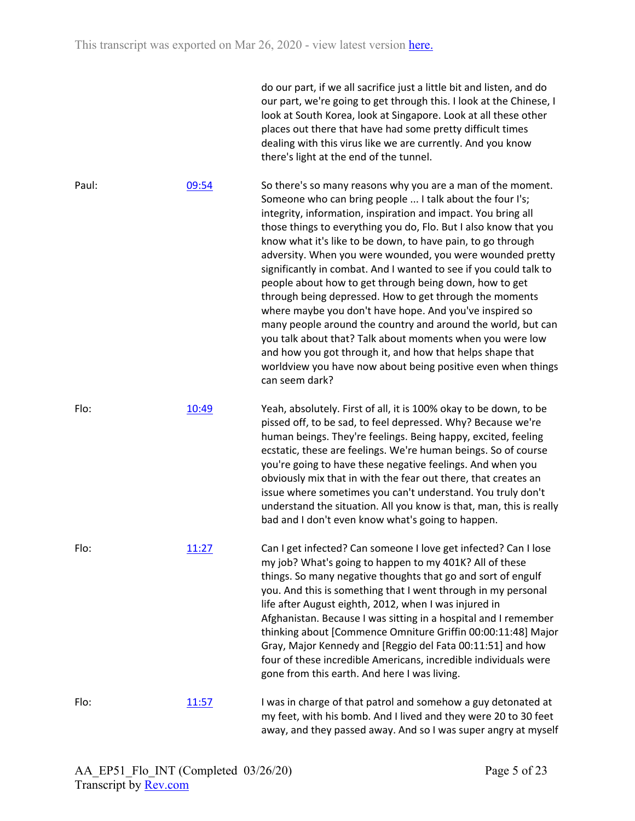|       |       | do our part, if we all sacrifice just a little bit and listen, and do<br>our part, we're going to get through this. I look at the Chinese, I<br>look at South Korea, look at Singapore. Look at all these other<br>places out there that have had some pretty difficult times<br>dealing with this virus like we are currently. And you know<br>there's light at the end of the tunnel.                                                                                                                                                                                                                                                                                                                                                                                                                                                                                                                                   |
|-------|-------|---------------------------------------------------------------------------------------------------------------------------------------------------------------------------------------------------------------------------------------------------------------------------------------------------------------------------------------------------------------------------------------------------------------------------------------------------------------------------------------------------------------------------------------------------------------------------------------------------------------------------------------------------------------------------------------------------------------------------------------------------------------------------------------------------------------------------------------------------------------------------------------------------------------------------|
| Paul: | 09:54 | So there's so many reasons why you are a man of the moment.<br>Someone who can bring people  I talk about the four I's;<br>integrity, information, inspiration and impact. You bring all<br>those things to everything you do, Flo. But I also know that you<br>know what it's like to be down, to have pain, to go through<br>adversity. When you were wounded, you were wounded pretty<br>significantly in combat. And I wanted to see if you could talk to<br>people about how to get through being down, how to get<br>through being depressed. How to get through the moments<br>where maybe you don't have hope. And you've inspired so<br>many people around the country and around the world, but can<br>you talk about that? Talk about moments when you were low<br>and how you got through it, and how that helps shape that<br>worldview you have now about being positive even when things<br>can seem dark? |
| Flo:  | 10:49 | Yeah, absolutely. First of all, it is 100% okay to be down, to be<br>pissed off, to be sad, to feel depressed. Why? Because we're<br>human beings. They're feelings. Being happy, excited, feeling<br>ecstatic, these are feelings. We're human beings. So of course<br>you're going to have these negative feelings. And when you<br>obviously mix that in with the fear out there, that creates an<br>issue where sometimes you can't understand. You truly don't<br>understand the situation. All you know is that, man, this is really<br>bad and I don't even know what's going to happen.                                                                                                                                                                                                                                                                                                                           |
| Flo:  | 11:27 | Can I get infected? Can someone I love get infected? Can I lose<br>my job? What's going to happen to my 401K? All of these<br>things. So many negative thoughts that go and sort of engulf<br>you. And this is something that I went through in my personal<br>life after August eighth, 2012, when I was injured in<br>Afghanistan. Because I was sitting in a hospital and I remember<br>thinking about [Commence Omniture Griffin 00:00:11:48] Major<br>Gray, Major Kennedy and [Reggio del Fata 00:11:51] and how<br>four of these incredible Americans, incredible individuals were<br>gone from this earth. And here I was living.                                                                                                                                                                                                                                                                                  |
| Flo:  | 11:57 | I was in charge of that patrol and somehow a guy detonated at<br>my feet, with his bomb. And I lived and they were 20 to 30 feet<br>away, and they passed away. And so I was super angry at myself                                                                                                                                                                                                                                                                                                                                                                                                                                                                                                                                                                                                                                                                                                                        |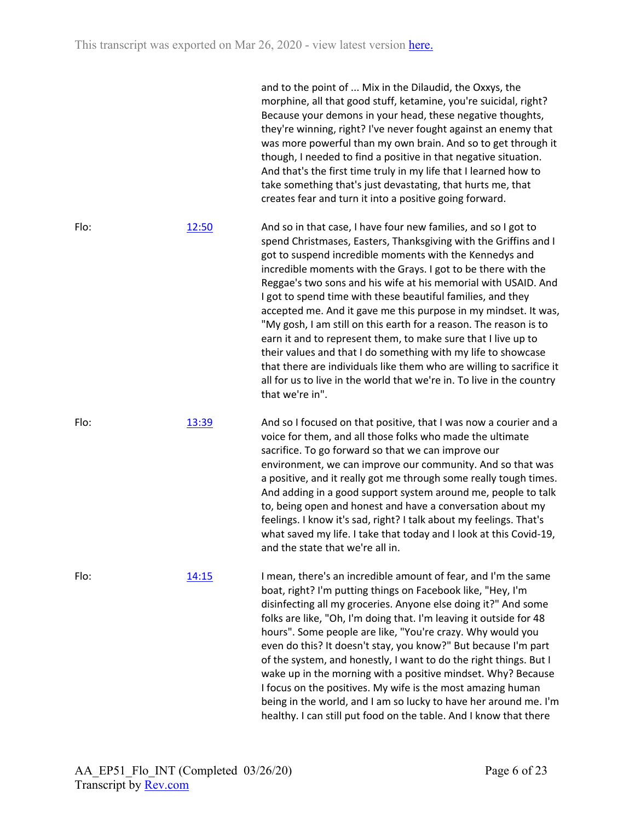|      |              | and to the point of  Mix in the Dilaudid, the Oxxys, the<br>morphine, all that good stuff, ketamine, you're suicidal, right?<br>Because your demons in your head, these negative thoughts,<br>they're winning, right? I've never fought against an enemy that<br>was more powerful than my own brain. And so to get through it<br>though, I needed to find a positive in that negative situation.<br>And that's the first time truly in my life that I learned how to<br>take something that's just devastating, that hurts me, that<br>creates fear and turn it into a positive going forward.                                                                                                                                                                                                                                               |
|------|--------------|-----------------------------------------------------------------------------------------------------------------------------------------------------------------------------------------------------------------------------------------------------------------------------------------------------------------------------------------------------------------------------------------------------------------------------------------------------------------------------------------------------------------------------------------------------------------------------------------------------------------------------------------------------------------------------------------------------------------------------------------------------------------------------------------------------------------------------------------------|
| Flo: | 12:50        | And so in that case, I have four new families, and so I got to<br>spend Christmases, Easters, Thanksgiving with the Griffins and I<br>got to suspend incredible moments with the Kennedys and<br>incredible moments with the Grays. I got to be there with the<br>Reggae's two sons and his wife at his memorial with USAID. And<br>I got to spend time with these beautiful families, and they<br>accepted me. And it gave me this purpose in my mindset. It was,<br>"My gosh, I am still on this earth for a reason. The reason is to<br>earn it and to represent them, to make sure that I live up to<br>their values and that I do something with my life to showcase<br>that there are individuals like them who are willing to sacrifice it<br>all for us to live in the world that we're in. To live in the country<br>that we're in". |
| Flo: | 13:39        | And so I focused on that positive, that I was now a courier and a<br>voice for them, and all those folks who made the ultimate<br>sacrifice. To go forward so that we can improve our<br>environment, we can improve our community. And so that was<br>a positive, and it really got me through some really tough times.<br>And adding in a good support system around me, people to talk<br>to, being open and honest and have a conversation about my<br>feelings. I know it's sad, right? I talk about my feelings. That's<br>what saved my life. I take that today and I look at this Covid-19,<br>and the state that we're all in.                                                                                                                                                                                                       |
| Flo: | <u>14:15</u> | I mean, there's an incredible amount of fear, and I'm the same<br>boat, right? I'm putting things on Facebook like, "Hey, I'm<br>disinfecting all my groceries. Anyone else doing it?" And some<br>folks are like, "Oh, I'm doing that. I'm leaving it outside for 48<br>hours". Some people are like, "You're crazy. Why would you<br>even do this? It doesn't stay, you know?" But because I'm part<br>of the system, and honestly, I want to do the right things. But I<br>wake up in the morning with a positive mindset. Why? Because<br>I focus on the positives. My wife is the most amazing human<br>being in the world, and I am so lucky to have her around me. I'm<br>healthy. I can still put food on the table. And I know that there                                                                                            |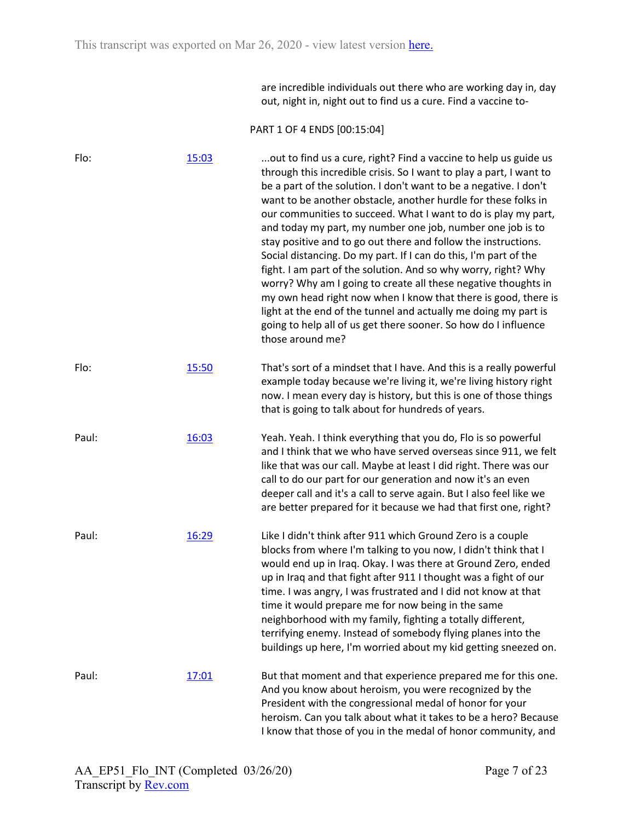are incredible individuals out there who are working day in, day out, night in, night out to find us a cure. Find a vaccine to-

## PART 1 OF 4 ENDS [00:15:04]

| Flo:  | 15:03 | out to find us a cure, right? Find a vaccine to help us guide us<br>through this incredible crisis. So I want to play a part, I want to<br>be a part of the solution. I don't want to be a negative. I don't<br>want to be another obstacle, another hurdle for these folks in<br>our communities to succeed. What I want to do is play my part,<br>and today my part, my number one job, number one job is to<br>stay positive and to go out there and follow the instructions.<br>Social distancing. Do my part. If I can do this, I'm part of the<br>fight. I am part of the solution. And so why worry, right? Why<br>worry? Why am I going to create all these negative thoughts in<br>my own head right now when I know that there is good, there is<br>light at the end of the tunnel and actually me doing my part is<br>going to help all of us get there sooner. So how do I influence<br>those around me? |
|-------|-------|----------------------------------------------------------------------------------------------------------------------------------------------------------------------------------------------------------------------------------------------------------------------------------------------------------------------------------------------------------------------------------------------------------------------------------------------------------------------------------------------------------------------------------------------------------------------------------------------------------------------------------------------------------------------------------------------------------------------------------------------------------------------------------------------------------------------------------------------------------------------------------------------------------------------|
| Flo:  | 15:50 | That's sort of a mindset that I have. And this is a really powerful<br>example today because we're living it, we're living history right<br>now. I mean every day is history, but this is one of those things<br>that is going to talk about for hundreds of years.                                                                                                                                                                                                                                                                                                                                                                                                                                                                                                                                                                                                                                                  |
| Paul: | 16:03 | Yeah. Yeah. I think everything that you do, Flo is so powerful<br>and I think that we who have served overseas since 911, we felt<br>like that was our call. Maybe at least I did right. There was our<br>call to do our part for our generation and now it's an even<br>deeper call and it's a call to serve again. But I also feel like we<br>are better prepared for it because we had that first one, right?                                                                                                                                                                                                                                                                                                                                                                                                                                                                                                     |
| Paul: | 16:29 | Like I didn't think after 911 which Ground Zero is a couple<br>blocks from where I'm talking to you now, I didn't think that I<br>would end up in Iraq. Okay. I was there at Ground Zero, ended<br>up in Iraq and that fight after 911 I thought was a fight of our<br>time. I was angry, I was frustrated and I did not know at that<br>time it would prepare me for now being in the same<br>neighborhood with my family, fighting a totally different,<br>terrifying enemy. Instead of somebody flying planes into the<br>buildings up here, I'm worried about my kid getting sneezed on.                                                                                                                                                                                                                                                                                                                         |
| Paul: | 17:01 | But that moment and that experience prepared me for this one.<br>And you know about heroism, you were recognized by the<br>President with the congressional medal of honor for your<br>heroism. Can you talk about what it takes to be a hero? Because<br>I know that those of you in the medal of honor community, and                                                                                                                                                                                                                                                                                                                                                                                                                                                                                                                                                                                              |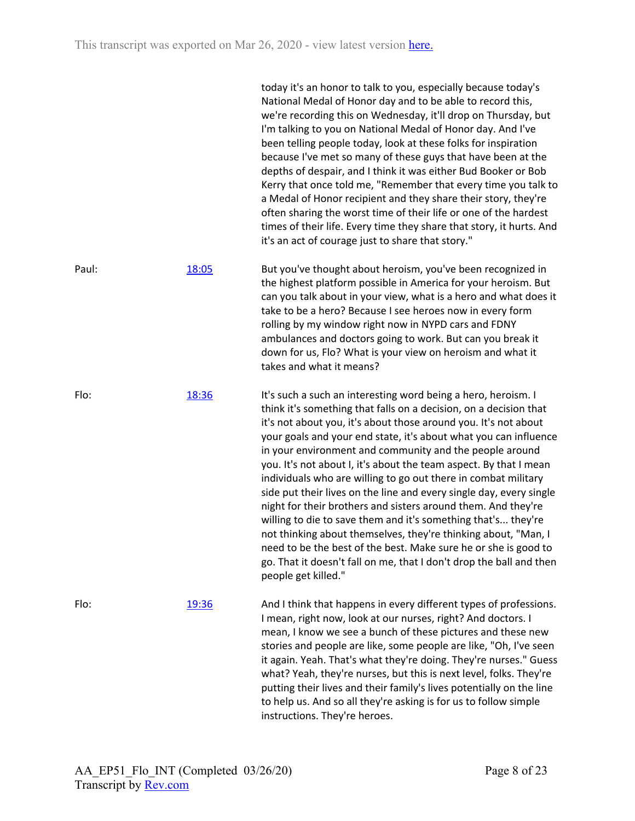|       |       | today it's an honor to talk to you, especially because today's<br>National Medal of Honor day and to be able to record this,<br>we're recording this on Wednesday, it'll drop on Thursday, but<br>I'm talking to you on National Medal of Honor day. And I've<br>been telling people today, look at these folks for inspiration<br>because I've met so many of these guys that have been at the<br>depths of despair, and I think it was either Bud Booker or Bob<br>Kerry that once told me, "Remember that every time you talk to<br>a Medal of Honor recipient and they share their story, they're<br>often sharing the worst time of their life or one of the hardest<br>times of their life. Every time they share that story, it hurts. And<br>it's an act of courage just to share that story."                                                                                                                  |
|-------|-------|-------------------------------------------------------------------------------------------------------------------------------------------------------------------------------------------------------------------------------------------------------------------------------------------------------------------------------------------------------------------------------------------------------------------------------------------------------------------------------------------------------------------------------------------------------------------------------------------------------------------------------------------------------------------------------------------------------------------------------------------------------------------------------------------------------------------------------------------------------------------------------------------------------------------------|
| Paul: | 18:05 | But you've thought about heroism, you've been recognized in<br>the highest platform possible in America for your heroism. But<br>can you talk about in your view, what is a hero and what does it<br>take to be a hero? Because I see heroes now in every form<br>rolling by my window right now in NYPD cars and FDNY<br>ambulances and doctors going to work. But can you break it<br>down for us, Flo? What is your view on heroism and what it<br>takes and what it means?                                                                                                                                                                                                                                                                                                                                                                                                                                          |
| Flo:  | 18:36 | It's such a such an interesting word being a hero, heroism. I<br>think it's something that falls on a decision, on a decision that<br>it's not about you, it's about those around you. It's not about<br>your goals and your end state, it's about what you can influence<br>in your environment and community and the people around<br>you. It's not about I, it's about the team aspect. By that I mean<br>individuals who are willing to go out there in combat military<br>side put their lives on the line and every single day, every single<br>night for their brothers and sisters around them. And they're<br>willing to die to save them and it's something that's they're<br>not thinking about themselves, they're thinking about, "Man, I<br>need to be the best of the best. Make sure he or she is good to<br>go. That it doesn't fall on me, that I don't drop the ball and then<br>people get killed." |
| Flo:  | 19:36 | And I think that happens in every different types of professions.<br>I mean, right now, look at our nurses, right? And doctors. I<br>mean, I know we see a bunch of these pictures and these new<br>stories and people are like, some people are like, "Oh, I've seen<br>it again. Yeah. That's what they're doing. They're nurses." Guess<br>what? Yeah, they're nurses, but this is next level, folks. They're<br>putting their lives and their family's lives potentially on the line<br>to help us. And so all they're asking is for us to follow simple<br>instructions. They're heroes.                                                                                                                                                                                                                                                                                                                           |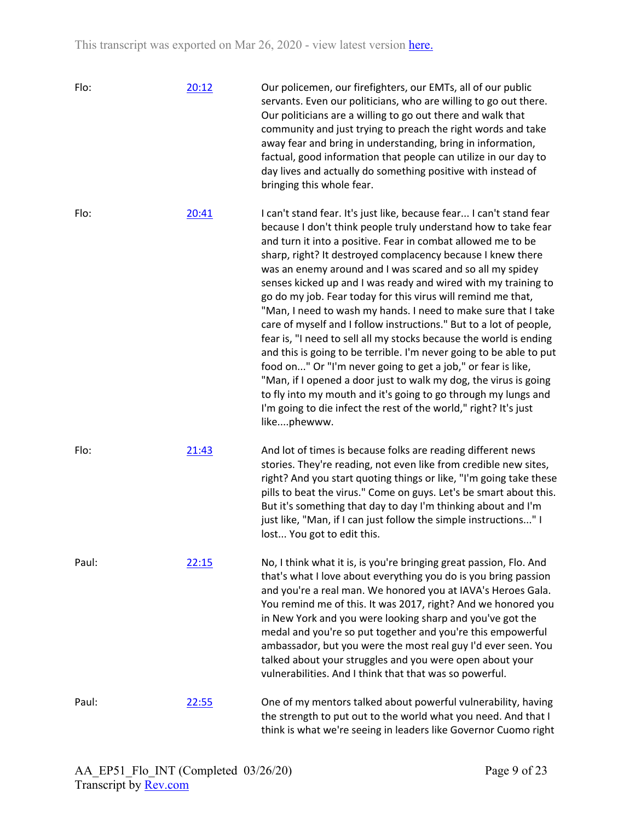| Flo:  | 20:12 | Our policemen, our firefighters, our EMTs, all of our public<br>servants. Even our politicians, who are willing to go out there.<br>Our politicians are a willing to go out there and walk that<br>community and just trying to preach the right words and take<br>away fear and bring in understanding, bring in information,<br>factual, good information that people can utilize in our day to<br>day lives and actually do something positive with instead of<br>bringing this whole fear.                                                                                                                                                                                                                                                                                                                                                                                                                                                                                                                                                    |
|-------|-------|---------------------------------------------------------------------------------------------------------------------------------------------------------------------------------------------------------------------------------------------------------------------------------------------------------------------------------------------------------------------------------------------------------------------------------------------------------------------------------------------------------------------------------------------------------------------------------------------------------------------------------------------------------------------------------------------------------------------------------------------------------------------------------------------------------------------------------------------------------------------------------------------------------------------------------------------------------------------------------------------------------------------------------------------------|
| Flo:  | 20:41 | I can't stand fear. It's just like, because fear I can't stand fear<br>because I don't think people truly understand how to take fear<br>and turn it into a positive. Fear in combat allowed me to be<br>sharp, right? It destroyed complacency because I knew there<br>was an enemy around and I was scared and so all my spidey<br>senses kicked up and I was ready and wired with my training to<br>go do my job. Fear today for this virus will remind me that,<br>"Man, I need to wash my hands. I need to make sure that I take<br>care of myself and I follow instructions." But to a lot of people,<br>fear is, "I need to sell all my stocks because the world is ending<br>and this is going to be terrible. I'm never going to be able to put<br>food on" Or "I'm never going to get a job," or fear is like,<br>"Man, if I opened a door just to walk my dog, the virus is going<br>to fly into my mouth and it's going to go through my lungs and<br>I'm going to die infect the rest of the world," right? It's just<br>likephewww. |
| Flo:  | 21:43 | And lot of times is because folks are reading different news<br>stories. They're reading, not even like from credible new sites,<br>right? And you start quoting things or like, "I'm going take these<br>pills to beat the virus." Come on guys. Let's be smart about this.<br>But it's something that day to day I'm thinking about and I'm<br>just like, "Man, if I can just follow the simple instructions" I<br>lost You got to edit this.                                                                                                                                                                                                                                                                                                                                                                                                                                                                                                                                                                                                   |
| Paul: | 22:15 | No, I think what it is, is you're bringing great passion, Flo. And<br>that's what I love about everything you do is you bring passion<br>and you're a real man. We honored you at IAVA's Heroes Gala.<br>You remind me of this. It was 2017, right? And we honored you<br>in New York and you were looking sharp and you've got the<br>medal and you're so put together and you're this empowerful<br>ambassador, but you were the most real guy I'd ever seen. You<br>talked about your struggles and you were open about your<br>vulnerabilities. And I think that that was so powerful.                                                                                                                                                                                                                                                                                                                                                                                                                                                        |
| Paul: | 22:55 | One of my mentors talked about powerful vulnerability, having<br>the strength to put out to the world what you need. And that I<br>think is what we're seeing in leaders like Governor Cuomo right                                                                                                                                                                                                                                                                                                                                                                                                                                                                                                                                                                                                                                                                                                                                                                                                                                                |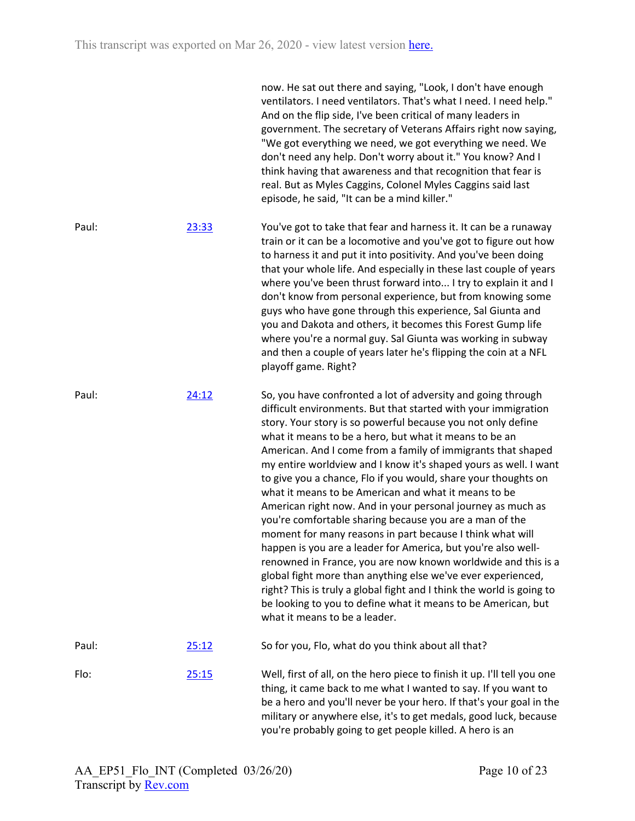|       |       | now. He sat out there and saying, "Look, I don't have enough<br>ventilators. I need ventilators. That's what I need. I need help."<br>And on the flip side, I've been critical of many leaders in<br>government. The secretary of Veterans Affairs right now saying,<br>"We got everything we need, we got everything we need. We<br>don't need any help. Don't worry about it." You know? And I<br>think having that awareness and that recognition that fear is<br>real. But as Myles Caggins, Colonel Myles Caggins said last<br>episode, he said, "It can be a mind killer."                                                                                                                                                                                                                                                                                                                                                                                                                                                                                                           |
|-------|-------|--------------------------------------------------------------------------------------------------------------------------------------------------------------------------------------------------------------------------------------------------------------------------------------------------------------------------------------------------------------------------------------------------------------------------------------------------------------------------------------------------------------------------------------------------------------------------------------------------------------------------------------------------------------------------------------------------------------------------------------------------------------------------------------------------------------------------------------------------------------------------------------------------------------------------------------------------------------------------------------------------------------------------------------------------------------------------------------------|
| Paul: | 23:33 | You've got to take that fear and harness it. It can be a runaway<br>train or it can be a locomotive and you've got to figure out how<br>to harness it and put it into positivity. And you've been doing<br>that your whole life. And especially in these last couple of years<br>where you've been thrust forward into I try to explain it and I<br>don't know from personal experience, but from knowing some<br>guys who have gone through this experience, Sal Giunta and<br>you and Dakota and others, it becomes this Forest Gump life<br>where you're a normal guy. Sal Giunta was working in subway<br>and then a couple of years later he's flipping the coin at a NFL<br>playoff game. Right?                                                                                                                                                                                                                                                                                                                                                                                     |
| Paul: | 24:12 | So, you have confronted a lot of adversity and going through<br>difficult environments. But that started with your immigration<br>story. Your story is so powerful because you not only define<br>what it means to be a hero, but what it means to be an<br>American. And I come from a family of immigrants that shaped<br>my entire worldview and I know it's shaped yours as well. I want<br>to give you a chance, Flo if you would, share your thoughts on<br>what it means to be American and what it means to be<br>American right now. And in your personal journey as much as<br>you're comfortable sharing because you are a man of the<br>moment for many reasons in part because I think what will<br>happen is you are a leader for America, but you're also well-<br>renowned in France, you are now known worldwide and this is a<br>global fight more than anything else we've ever experienced,<br>right? This is truly a global fight and I think the world is going to<br>be looking to you to define what it means to be American, but<br>what it means to be a leader. |
| Paul: | 25:12 | So for you, Flo, what do you think about all that?                                                                                                                                                                                                                                                                                                                                                                                                                                                                                                                                                                                                                                                                                                                                                                                                                                                                                                                                                                                                                                         |
| Flo:  | 25:15 | Well, first of all, on the hero piece to finish it up. I'll tell you one<br>thing, it came back to me what I wanted to say. If you want to<br>be a hero and you'll never be your hero. If that's your goal in the<br>military or anywhere else, it's to get medals, good luck, because<br>you're probably going to get people killed. A hero is an                                                                                                                                                                                                                                                                                                                                                                                                                                                                                                                                                                                                                                                                                                                                         |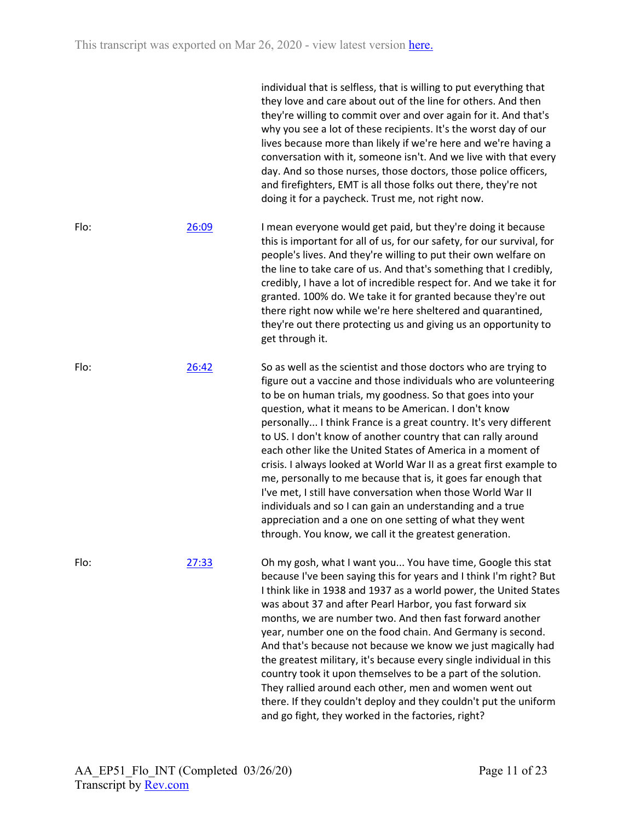individual that is selfless, that is willing to put everything that they love and care about out of the line for others. And then they're willing to commit over and over again for it. And that's why you see a lot of these recipients. It's the worst day of our lives because more than likely if we're here and we're having a conversation with it, someone isn't. And we live with that every day. And so those nurses, those doctors, those police officers, and firefighters, EMT is all those folks out there, they're not doing it for a paycheck. Trust me, not right now. Flo: [26:09](https://www.rev.com/transcript-editor/Edit?token=AEmAKPb2pKlS8Fs12xRhwYL_UkHiR42j1stStY2vgOWGx17MGFEgzvUChoss3gtyPNmPO_IusArPG6uoNmg4BrMRMF4&loadFrom=DocumentDeeplink&ts=1569.88) I mean everyone would get paid, but they're doing it because this is important for all of us, for our safety, for our survival, for people's lives. And they're willing to put their own welfare on the line to take care of us. And that's something that I credibly, credibly, I have a lot of incredible respect for. And we take it for granted. 100% do. We take it for granted because they're out there right now while we're here sheltered and quarantined, they're out there protecting us and giving us an opportunity to get through it. Flo: [26:42](https://www.rev.com/transcript-editor/Edit?token=WgEknNRC02tuaAAqMUCgp3PnCUHjIi8o8qcjZKIyVZDlArXxrNhoaxbljSBIQYw7wDn33vI7FbqfU0mty5iRzEGqU1E&loadFrom=DocumentDeeplink&ts=1602.27) So as well as the scientist and those doctors who are trying to figure out a vaccine and those individuals who are volunteering to be on human trials, my goodness. So that goes into your question, what it means to be American. I don't know personally... I think France is a great country. It's very different to US. I don't know of another country that can rally around each other like the United States of America in a moment of crisis. I always looked at World War II as a great first example to me, personally to me because that is, it goes far enough that I've met, I still have conversation when those World War II individuals and so I can gain an understanding and a true appreciation and a one on one setting of what they went through. You know, we call it the greatest generation. Flo: [27:33](https://www.rev.com/transcript-editor/Edit?token=y5LvSYMOldyo_2m2knEtsGsk6NGnnWMdZdJ77WtXlAw4Vu_ytIegpKnf9jDur6pvnf-3tfqx0sv6QPbLYrMOGo3w9pI&loadFrom=DocumentDeeplink&ts=1653.65) Oh my gosh, what I want you... You have time, Google this stat because I've been saying this for years and I think I'm right? But I think like in 1938 and 1937 as a world power, the United States was about 37 and after Pearl Harbor, you fast forward six months, we are number two. And then fast forward another year, number one on the food chain. And Germany is second. And that's because not because we know we just magically had the greatest military, it's because every single individual in this country took it upon themselves to be a part of the solution. They rallied around each other, men and women went out there. If they couldn't deploy and they couldn't put the uniform and go fight, they worked in the factories, right?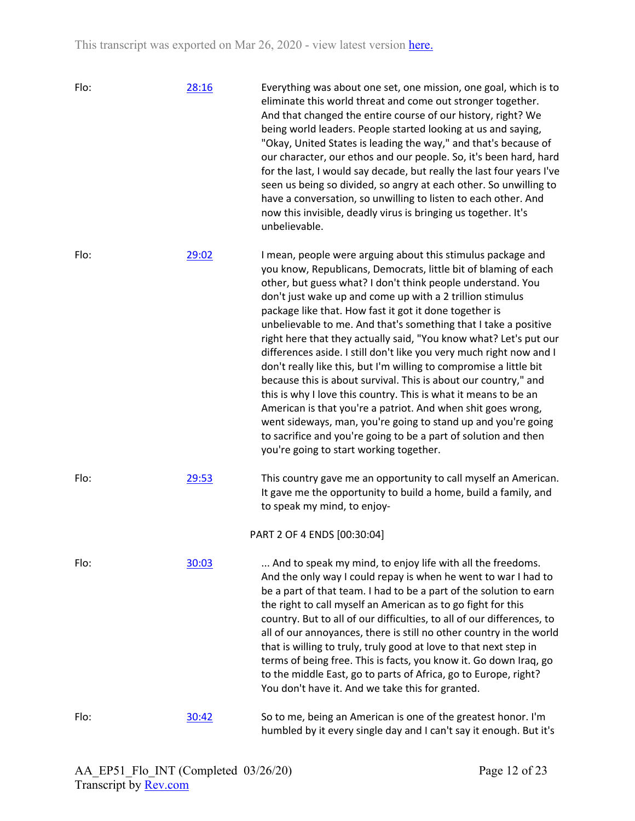| Flo: | 28:16 | Everything was about one set, one mission, one goal, which is to<br>eliminate this world threat and come out stronger together.<br>And that changed the entire course of our history, right? We<br>being world leaders. People started looking at us and saying,<br>"Okay, United States is leading the way," and that's because of<br>our character, our ethos and our people. So, it's been hard, hard<br>for the last, I would say decade, but really the last four years I've<br>seen us being so divided, so angry at each other. So unwilling to<br>have a conversation, so unwilling to listen to each other. And<br>now this invisible, deadly virus is bringing us together. It's<br>unbelievable.                                                                                                                                                                                                                                                                                    |
|------|-------|------------------------------------------------------------------------------------------------------------------------------------------------------------------------------------------------------------------------------------------------------------------------------------------------------------------------------------------------------------------------------------------------------------------------------------------------------------------------------------------------------------------------------------------------------------------------------------------------------------------------------------------------------------------------------------------------------------------------------------------------------------------------------------------------------------------------------------------------------------------------------------------------------------------------------------------------------------------------------------------------|
| Flo: | 29:02 | I mean, people were arguing about this stimulus package and<br>you know, Republicans, Democrats, little bit of blaming of each<br>other, but guess what? I don't think people understand. You<br>don't just wake up and come up with a 2 trillion stimulus<br>package like that. How fast it got it done together is<br>unbelievable to me. And that's something that I take a positive<br>right here that they actually said, "You know what? Let's put our<br>differences aside. I still don't like you very much right now and I<br>don't really like this, but I'm willing to compromise a little bit<br>because this is about survival. This is about our country," and<br>this is why I love this country. This is what it means to be an<br>American is that you're a patriot. And when shit goes wrong,<br>went sideways, man, you're going to stand up and you're going<br>to sacrifice and you're going to be a part of solution and then<br>you're going to start working together. |
| Flo: | 29:53 | This country gave me an opportunity to call myself an American.<br>It gave me the opportunity to build a home, build a family, and<br>to speak my mind, to enjoy-                                                                                                                                                                                                                                                                                                                                                                                                                                                                                                                                                                                                                                                                                                                                                                                                                              |
|      |       | PART 2 OF 4 ENDS [00:30:04]                                                                                                                                                                                                                                                                                                                                                                                                                                                                                                                                                                                                                                                                                                                                                                                                                                                                                                                                                                    |
| Flo: | 30:03 | And to speak my mind, to enjoy life with all the freedoms.<br>And the only way I could repay is when he went to war I had to<br>be a part of that team. I had to be a part of the solution to earn<br>the right to call myself an American as to go fight for this<br>country. But to all of our difficulties, to all of our differences, to<br>all of our annoyances, there is still no other country in the world<br>that is willing to truly, truly good at love to that next step in<br>terms of being free. This is facts, you know it. Go down Iraq, go<br>to the middle East, go to parts of Africa, go to Europe, right?<br>You don't have it. And we take this for granted.                                                                                                                                                                                                                                                                                                           |
| Flo: | 30:42 | So to me, being an American is one of the greatest honor. I'm<br>humbled by it every single day and I can't say it enough. But it's                                                                                                                                                                                                                                                                                                                                                                                                                                                                                                                                                                                                                                                                                                                                                                                                                                                            |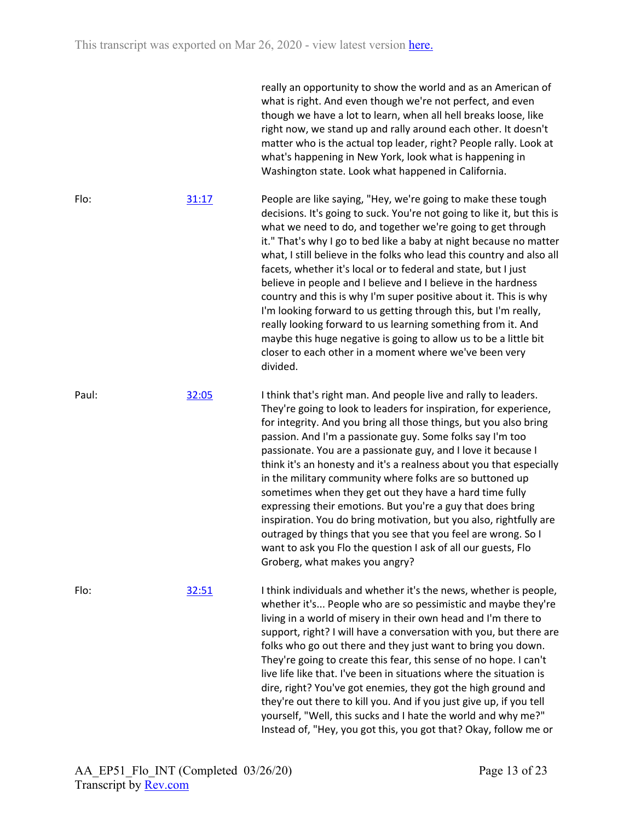|       |       | really an opportunity to show the world and as an American of<br>what is right. And even though we're not perfect, and even<br>though we have a lot to learn, when all hell breaks loose, like<br>right now, we stand up and rally around each other. It doesn't<br>matter who is the actual top leader, right? People rally. Look at<br>what's happening in New York, look what is happening in<br>Washington state. Look what happened in California.                                                                                                                                                                                                                                                                                                                                                                                        |
|-------|-------|------------------------------------------------------------------------------------------------------------------------------------------------------------------------------------------------------------------------------------------------------------------------------------------------------------------------------------------------------------------------------------------------------------------------------------------------------------------------------------------------------------------------------------------------------------------------------------------------------------------------------------------------------------------------------------------------------------------------------------------------------------------------------------------------------------------------------------------------|
| Flo:  | 31:17 | People are like saying, "Hey, we're going to make these tough<br>decisions. It's going to suck. You're not going to like it, but this is<br>what we need to do, and together we're going to get through<br>it." That's why I go to bed like a baby at night because no matter<br>what, I still believe in the folks who lead this country and also all<br>facets, whether it's local or to federal and state, but I just<br>believe in people and I believe and I believe in the hardness<br>country and this is why I'm super positive about it. This is why<br>I'm looking forward to us getting through this, but I'm really,<br>really looking forward to us learning something from it. And<br>maybe this huge negative is going to allow us to be a little bit<br>closer to each other in a moment where we've been very<br>divided.     |
| Paul: | 32:05 | I think that's right man. And people live and rally to leaders.<br>They're going to look to leaders for inspiration, for experience,<br>for integrity. And you bring all those things, but you also bring<br>passion. And I'm a passionate guy. Some folks say I'm too<br>passionate. You are a passionate guy, and I love it because I<br>think it's an honesty and it's a realness about you that especially<br>in the military community where folks are so buttoned up<br>sometimes when they get out they have a hard time fully<br>expressing their emotions. But you're a guy that does bring<br>inspiration. You do bring motivation, but you also, rightfully are<br>outraged by things that you see that you feel are wrong. So I<br>want to ask you Flo the question I ask of all our guests, Flo<br>Groberg, what makes you angry? |
| Flo:  | 32:51 | I think individuals and whether it's the news, whether is people,<br>whether it's People who are so pessimistic and maybe they're<br>living in a world of misery in their own head and I'm there to<br>support, right? I will have a conversation with you, but there are<br>folks who go out there and they just want to bring you down.<br>They're going to create this fear, this sense of no hope. I can't<br>live life like that. I've been in situations where the situation is<br>dire, right? You've got enemies, they got the high ground and<br>they're out there to kill you. And if you just give up, if you tell<br>yourself, "Well, this sucks and I hate the world and why me?"<br>Instead of, "Hey, you got this, you got that? Okay, follow me or                                                                             |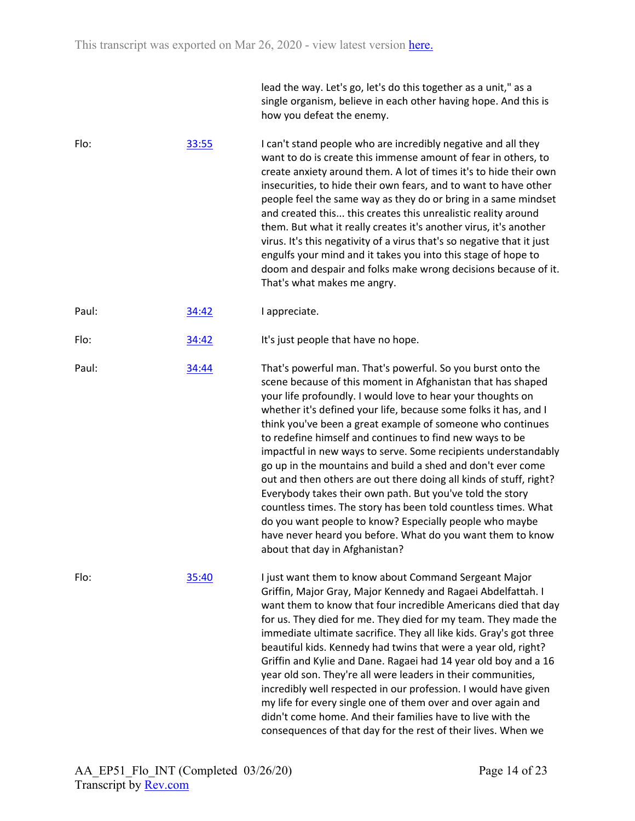|       |       | single organism, believe in each other having hope. And this is<br>how you defeat the enemy.                                                                                                                                                                                                                                                                                                                                                                                                                                                                                                                                                                                                                                                                                                                                                                                             |
|-------|-------|------------------------------------------------------------------------------------------------------------------------------------------------------------------------------------------------------------------------------------------------------------------------------------------------------------------------------------------------------------------------------------------------------------------------------------------------------------------------------------------------------------------------------------------------------------------------------------------------------------------------------------------------------------------------------------------------------------------------------------------------------------------------------------------------------------------------------------------------------------------------------------------|
| Flo:  | 33:55 | I can't stand people who are incredibly negative and all they<br>want to do is create this immense amount of fear in others, to<br>create anxiety around them. A lot of times it's to hide their own<br>insecurities, to hide their own fears, and to want to have other<br>people feel the same way as they do or bring in a same mindset<br>and created this this creates this unrealistic reality around<br>them. But what it really creates it's another virus, it's another<br>virus. It's this negativity of a virus that's so negative that it just<br>engulfs your mind and it takes you into this stage of hope to<br>doom and despair and folks make wrong decisions because of it.<br>That's what makes me angry.                                                                                                                                                             |
| Paul: | 34:42 | I appreciate.                                                                                                                                                                                                                                                                                                                                                                                                                                                                                                                                                                                                                                                                                                                                                                                                                                                                            |
| Flo:  | 34:42 | It's just people that have no hope.                                                                                                                                                                                                                                                                                                                                                                                                                                                                                                                                                                                                                                                                                                                                                                                                                                                      |
| Paul: | 34:44 | That's powerful man. That's powerful. So you burst onto the<br>scene because of this moment in Afghanistan that has shaped<br>your life profoundly. I would love to hear your thoughts on<br>whether it's defined your life, because some folks it has, and I<br>think you've been a great example of someone who continues<br>to redefine himself and continues to find new ways to be<br>impactful in new ways to serve. Some recipients understandably<br>go up in the mountains and build a shed and don't ever come<br>out and then others are out there doing all kinds of stuff, right?<br>Everybody takes their own path. But you've told the story<br>countless times. The story has been told countless times. What<br>do you want people to know? Especially people who maybe<br>have never heard you before. What do you want them to know<br>about that day in Afghanistan? |
| Flo:  | 35:40 | I just want them to know about Command Sergeant Major<br>Griffin, Major Gray, Major Kennedy and Ragaei Abdelfattah. I<br>want them to know that four incredible Americans died that day<br>for us. They died for me. They died for my team. They made the<br>immediate ultimate sacrifice. They all like kids. Gray's got three<br>beautiful kids. Kennedy had twins that were a year old, right?<br>Griffin and Kylie and Dane. Ragaei had 14 year old boy and a 16<br>year old son. They're all were leaders in their communities,<br>incredibly well respected in our profession. I would have given<br>my life for every single one of them over and over again and<br>didn't come home. And their families have to live with the<br>consequences of that day for the rest of their lives. When we                                                                                   |

lead the way. Let's go, let's do this together as a unit," as a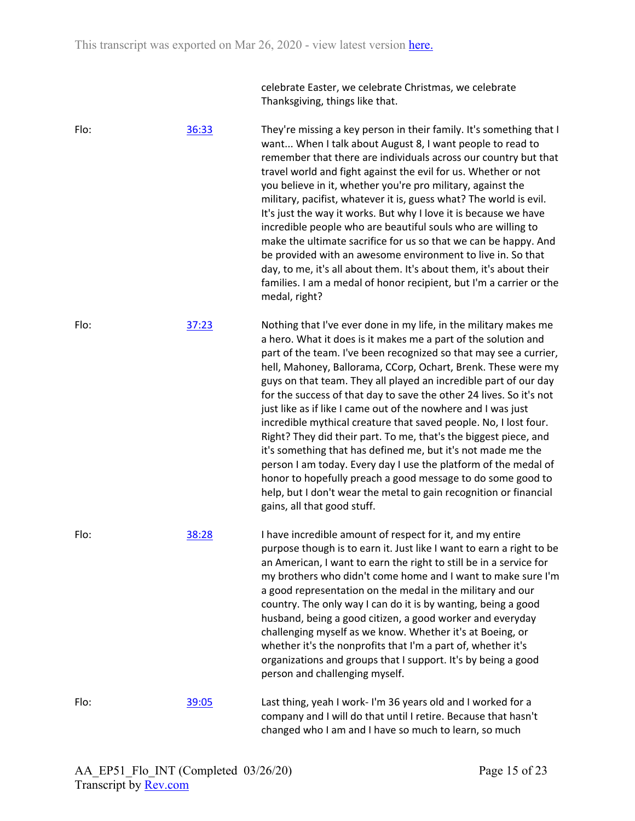celebrate Easter, we celebrate Christmas, we celebrate Thanksgiving, things like that.

Flo: [36:33](https://www.rev.com/transcript-editor/Edit?token=HPOzaJAR7pTKbINHhYPx4VpEy2axG-LxrzI9NuDJuVK-fRpEp9VclMdFQzphAVt_YElm65m672oDOQgxon7koFh62N8&loadFrom=DocumentDeeplink&ts=2193.4) They're missing a key person in their family. It's something that I want... When I talk about August 8, I want people to read to remember that there are individuals across our country but that travel world and fight against the evil for us. Whether or not you believe in it, whether you're pro military, against the military, pacifist, whatever it is, guess what? The world is evil. It's just the way it works. But why I love it is because we have incredible people who are beautiful souls who are willing to make the ultimate sacrifice for us so that we can be happy. And be provided with an awesome environment to live in. So that day, to me, it's all about them. It's about them, it's about their families. I am a medal of honor recipient, but I'm a carrier or the medal, right? Flo: [37:23](https://www.rev.com/transcript-editor/Edit?token=_D34kLzpiHpzlyxqeU_OpbO5-mqtwOorcgCPqcmt8gKMoQ05KX2PTYAYhRM1X1jwnBvFrhd-_P28oVtjMVndjEAkQxI&loadFrom=DocumentDeeplink&ts=2243.71) Nothing that I've ever done in my life, in the military makes me a hero. What it does is it makes me a part of the solution and part of the team. I've been recognized so that may see a currier, hell, Mahoney, Ballorama, CCorp, Ochart, Brenk. These were my guys on that team. They all played an incredible part of our day for the success of that day to save the other 24 lives. So it's not just like as if like I came out of the nowhere and I was just incredible mythical creature that saved people. No, I lost four. Right? They did their part. To me, that's the biggest piece, and it's something that has defined me, but it's not made me the person I am today. Every day I use the platform of the medal of honor to hopefully preach a good message to do some good to help, but I don't wear the metal to gain recognition or financial gains, all that good stuff. Flo: [38:28](https://www.rev.com/transcript-editor/Edit?token=x4ULogw3qTiZ3Q5sHR-rLpxGEGguF3YEZPc975l9N_o8cIKDZ3p3K6vThPOrYjnRuJaTIBu5THBIb9P974FGmvkQ2cc&loadFrom=DocumentDeeplink&ts=2308.5) I have incredible amount of respect for it, and my entire purpose though is to earn it. Just like I want to earn a right to be an American, I want to earn the right to still be in a service for my brothers who didn't come home and I want to make sure I'm a good representation on the medal in the military and our country. The only way I can do it is by wanting, being a good husband, being a good citizen, a good worker and everyday challenging myself as we know. Whether it's at Boeing, or whether it's the nonprofits that I'm a part of, whether it's organizations and groups that I support. It's by being a good person and challenging myself. Flo: [39:05](https://www.rev.com/transcript-editor/Edit?token=03fZR9vm7I3VM8FOd5IT1AyVAfvbIS2nYZ99DWGG-nS7CcDEOb1CvR-Nx1Zy_JlsOPDeBOItPFbiTf9ONyvzOxkFPsI&loadFrom=DocumentDeeplink&ts=2345.33) Last thing, yeah I work- I'm 36 years old and I worked for a company and I will do that until I retire. Because that hasn't changed who I am and I have so much to learn, so much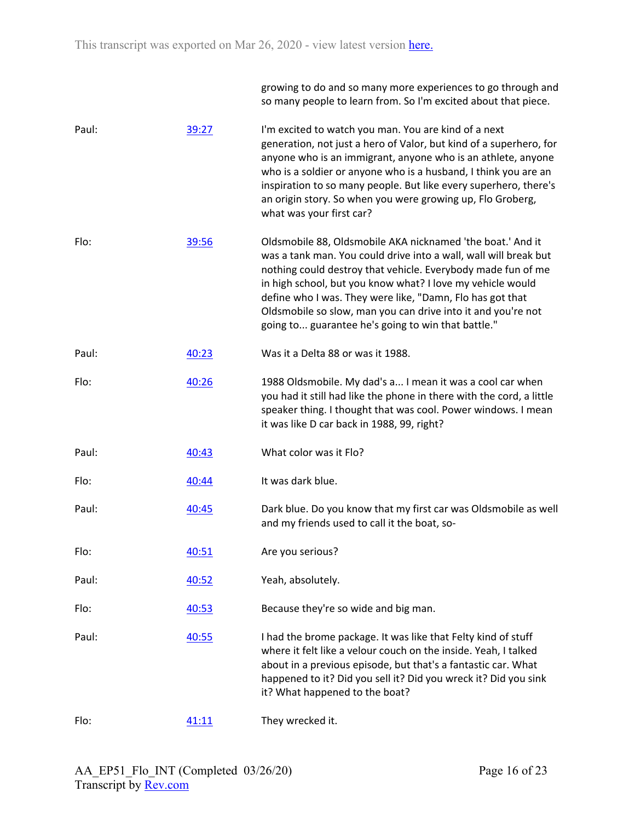growing to do and so many more experiences to go through and so many people to learn from. So I'm excited about that piece.

| Paul: | 39:27 | I'm excited to watch you man. You are kind of a next<br>generation, not just a hero of Valor, but kind of a superhero, for<br>anyone who is an immigrant, anyone who is an athlete, anyone<br>who is a soldier or anyone who is a husband, I think you are an<br>inspiration to so many people. But like every superhero, there's<br>an origin story. So when you were growing up, Flo Groberg,<br>what was your first car?                     |
|-------|-------|-------------------------------------------------------------------------------------------------------------------------------------------------------------------------------------------------------------------------------------------------------------------------------------------------------------------------------------------------------------------------------------------------------------------------------------------------|
| Flo:  | 39:56 | Oldsmobile 88, Oldsmobile AKA nicknamed 'the boat.' And it<br>was a tank man. You could drive into a wall, wall will break but<br>nothing could destroy that vehicle. Everybody made fun of me<br>in high school, but you know what? I love my vehicle would<br>define who I was. They were like, "Damn, Flo has got that<br>Oldsmobile so slow, man you can drive into it and you're not<br>going to guarantee he's going to win that battle." |
| Paul: | 40:23 | Was it a Delta 88 or was it 1988.                                                                                                                                                                                                                                                                                                                                                                                                               |
| Flo:  | 40:26 | 1988 Oldsmobile. My dad's a I mean it was a cool car when<br>you had it still had like the phone in there with the cord, a little<br>speaker thing. I thought that was cool. Power windows. I mean<br>it was like D car back in 1988, 99, right?                                                                                                                                                                                                |
| Paul: | 40:43 | What color was it Flo?                                                                                                                                                                                                                                                                                                                                                                                                                          |
| Flo:  | 40:44 | It was dark blue.                                                                                                                                                                                                                                                                                                                                                                                                                               |
| Paul: | 40:45 | Dark blue. Do you know that my first car was Oldsmobile as well<br>and my friends used to call it the boat, so-                                                                                                                                                                                                                                                                                                                                 |
| Flo:  | 40:51 | Are you serious?                                                                                                                                                                                                                                                                                                                                                                                                                                |
| Paul: | 40:52 | Yeah, absolutely.                                                                                                                                                                                                                                                                                                                                                                                                                               |
| Flo:  | 40:53 | Because they're so wide and big man.                                                                                                                                                                                                                                                                                                                                                                                                            |
| Paul: | 40:55 | I had the brome package. It was like that Felty kind of stuff<br>where it felt like a velour couch on the inside. Yeah, I talked<br>about in a previous episode, but that's a fantastic car. What<br>happened to it? Did you sell it? Did you wreck it? Did you sink<br>it? What happened to the boat?                                                                                                                                          |
| Flo:  | 41:11 | They wrecked it.                                                                                                                                                                                                                                                                                                                                                                                                                                |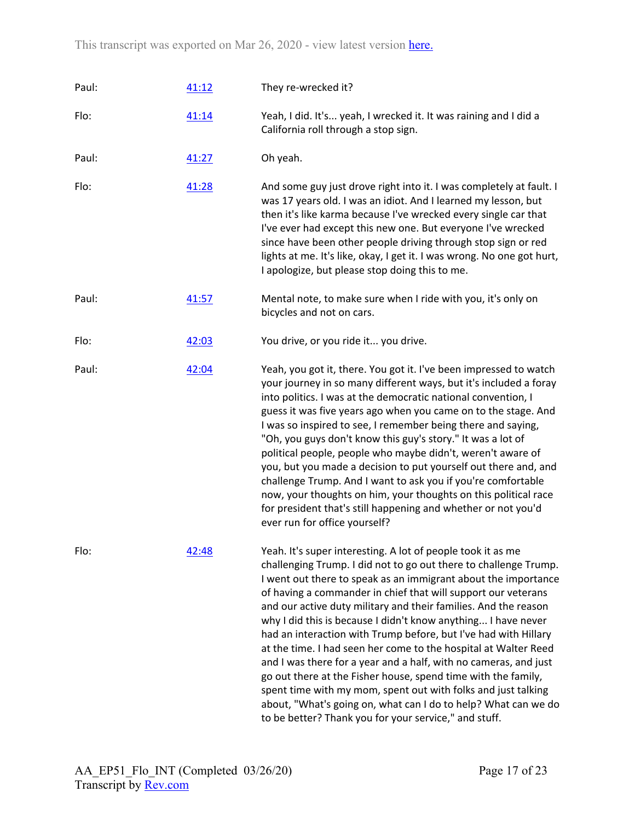| Paul: | 41:12 | They re-wrecked it?                                                                                                                                                                                                                                                                                                                                                                                                                                                                                                                                                                                                                                                                                                                                                                                                                                                           |
|-------|-------|-------------------------------------------------------------------------------------------------------------------------------------------------------------------------------------------------------------------------------------------------------------------------------------------------------------------------------------------------------------------------------------------------------------------------------------------------------------------------------------------------------------------------------------------------------------------------------------------------------------------------------------------------------------------------------------------------------------------------------------------------------------------------------------------------------------------------------------------------------------------------------|
| Flo:  | 41:14 | Yeah, I did. It's yeah, I wrecked it. It was raining and I did a<br>California roll through a stop sign.                                                                                                                                                                                                                                                                                                                                                                                                                                                                                                                                                                                                                                                                                                                                                                      |
| Paul: | 41:27 | Oh yeah.                                                                                                                                                                                                                                                                                                                                                                                                                                                                                                                                                                                                                                                                                                                                                                                                                                                                      |
| Flo:  | 41:28 | And some guy just drove right into it. I was completely at fault. I<br>was 17 years old. I was an idiot. And I learned my lesson, but<br>then it's like karma because I've wrecked every single car that<br>I've ever had except this new one. But everyone I've wrecked<br>since have been other people driving through stop sign or red<br>lights at me. It's like, okay, I get it. I was wrong. No one got hurt,<br>I apologize, but please stop doing this to me.                                                                                                                                                                                                                                                                                                                                                                                                         |
| Paul: | 41:57 | Mental note, to make sure when I ride with you, it's only on<br>bicycles and not on cars.                                                                                                                                                                                                                                                                                                                                                                                                                                                                                                                                                                                                                                                                                                                                                                                     |
| Flo:  | 42:03 | You drive, or you ride it you drive.                                                                                                                                                                                                                                                                                                                                                                                                                                                                                                                                                                                                                                                                                                                                                                                                                                          |
| Paul: | 42:04 | Yeah, you got it, there. You got it. I've been impressed to watch<br>your journey in so many different ways, but it's included a foray<br>into politics. I was at the democratic national convention, I<br>guess it was five years ago when you came on to the stage. And<br>I was so inspired to see, I remember being there and saying,<br>"Oh, you guys don't know this guy's story." It was a lot of<br>political people, people who maybe didn't, weren't aware of<br>you, but you made a decision to put yourself out there and, and<br>challenge Trump. And I want to ask you if you're comfortable<br>now, your thoughts on him, your thoughts on this political race<br>for president that's still happening and whether or not you'd<br>ever run for office yourself?                                                                                               |
| Flo:  | 42:48 | Yeah. It's super interesting. A lot of people took it as me<br>challenging Trump. I did not to go out there to challenge Trump.<br>I went out there to speak as an immigrant about the importance<br>of having a commander in chief that will support our veterans<br>and our active duty military and their families. And the reason<br>why I did this is because I didn't know anything I have never<br>had an interaction with Trump before, but I've had with Hillary<br>at the time. I had seen her come to the hospital at Walter Reed<br>and I was there for a year and a half, with no cameras, and just<br>go out there at the Fisher house, spend time with the family,<br>spent time with my mom, spent out with folks and just talking<br>about, "What's going on, what can I do to help? What can we do<br>to be better? Thank you for your service," and stuff. |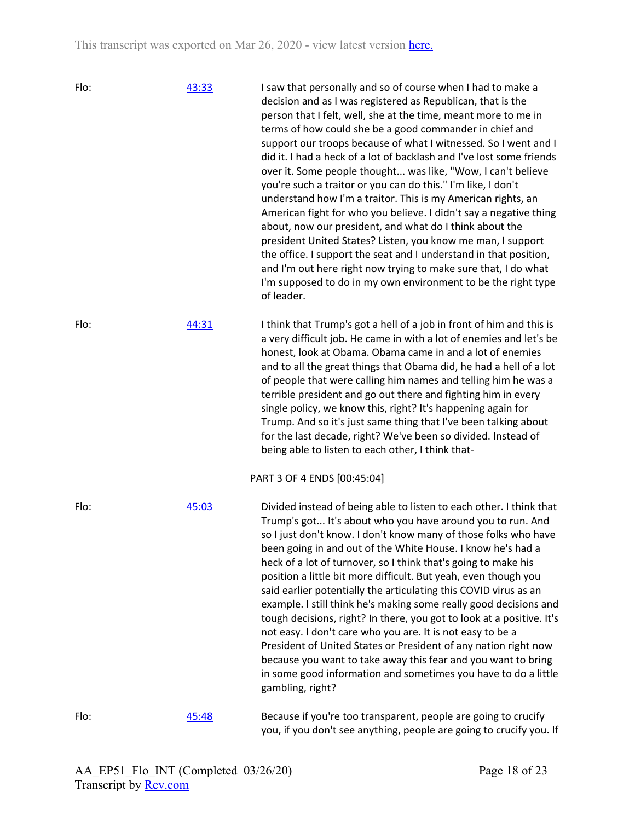| Flo: | 43:33 | I saw that personally and so of course when I had to make a<br>decision and as I was registered as Republican, that is the<br>person that I felt, well, she at the time, meant more to me in<br>terms of how could she be a good commander in chief and<br>support our troops because of what I witnessed. So I went and I<br>did it. I had a heck of a lot of backlash and I've lost some friends<br>over it. Some people thought was like, "Wow, I can't believe<br>you're such a traitor or you can do this." I'm like, I don't<br>understand how I'm a traitor. This is my American rights, an<br>American fight for who you believe. I didn't say a negative thing<br>about, now our president, and what do I think about the<br>president United States? Listen, you know me man, I support<br>the office. I support the seat and I understand in that position,<br>and I'm out here right now trying to make sure that, I do what<br>I'm supposed to do in my own environment to be the right type<br>of leader. |
|------|-------|-------------------------------------------------------------------------------------------------------------------------------------------------------------------------------------------------------------------------------------------------------------------------------------------------------------------------------------------------------------------------------------------------------------------------------------------------------------------------------------------------------------------------------------------------------------------------------------------------------------------------------------------------------------------------------------------------------------------------------------------------------------------------------------------------------------------------------------------------------------------------------------------------------------------------------------------------------------------------------------------------------------------------|
| Flo: | 44:31 | I think that Trump's got a hell of a job in front of him and this is<br>a very difficult job. He came in with a lot of enemies and let's be<br>honest, look at Obama. Obama came in and a lot of enemies<br>and to all the great things that Obama did, he had a hell of a lot<br>of people that were calling him names and telling him he was a<br>terrible president and go out there and fighting him in every<br>single policy, we know this, right? It's happening again for<br>Trump. And so it's just same thing that I've been talking about<br>for the last decade, right? We've been so divided. Instead of<br>being able to listen to each other, I think that-                                                                                                                                                                                                                                                                                                                                              |
|      |       | PART 3 OF 4 ENDS [00:45:04]                                                                                                                                                                                                                                                                                                                                                                                                                                                                                                                                                                                                                                                                                                                                                                                                                                                                                                                                                                                             |
| Flo: | 45:03 | Divided instead of being able to listen to each other. I think that<br>Trump's got It's about who you have around you to run. And<br>so I just don't know. I don't know many of those folks who have<br>been going in and out of the White House. I know he's had a<br>heck of a lot of turnover, so I think that's going to make his<br>position a little bit more difficult. But yeah, even though you<br>said earlier potentially the articulating this COVID virus as an<br>example. I still think he's making some really good decisions and<br>tough decisions, right? In there, you got to look at a positive. It's<br>not easy. I don't care who you are. It is not easy to be a<br>President of United States or President of any nation right now<br>because you want to take away this fear and you want to bring<br>in some good information and sometimes you have to do a little<br>gambling, right?                                                                                                      |
| Flo: | 45:48 | Because if you're too transparent, people are going to crucify<br>you, if you don't see anything, people are going to crucify you. If                                                                                                                                                                                                                                                                                                                                                                                                                                                                                                                                                                                                                                                                                                                                                                                                                                                                                   |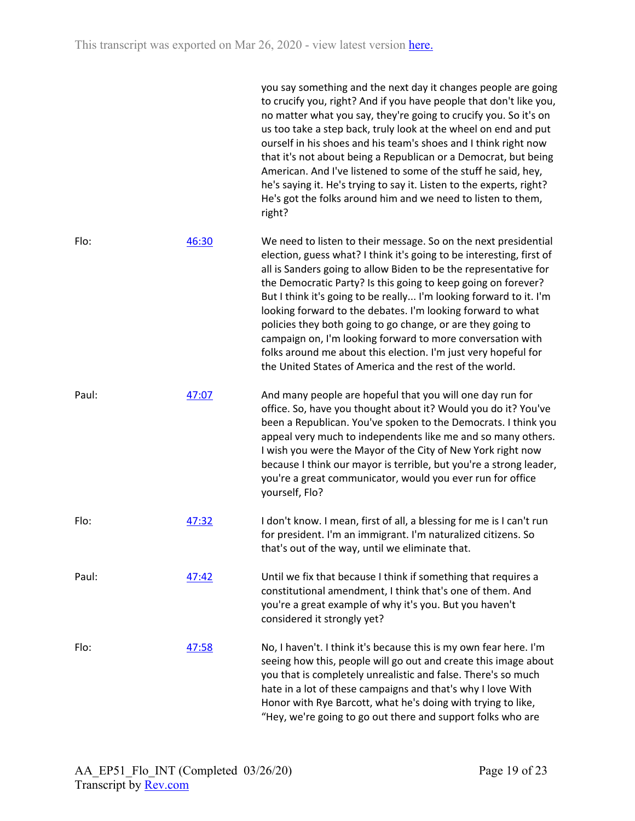you say something and the next day it changes people are going to crucify you, right? And if you have people that don't like you, no matter what you say, they're going to crucify you. So it's on us too take a step back, truly look at the wheel on end and put ourself in his shoes and his team's shoes and I think right now that it's not about being a Republican or a Democrat, but being American. And I've listened to some of the stuff he said, hey, he's saying it. He's trying to say it. Listen to the experts, right? He's got the folks around him and we need to listen to them, right?

Flo: [46:30](https://www.rev.com/transcript-editor/Edit?token=r_gdSwACGcZHa0POY5gGz_jtDcNnvFYrAJzzFA72uYpgmG1zSTXJ1Nbdy-DaWCNcUI4W5-ZL1GP5razkApIYT-cQzCY&loadFrom=DocumentDeeplink&ts=2790.92) We need to listen to their message. So on the next presidential election, guess what? I think it's going to be interesting, first of all is Sanders going to allow Biden to be the representative for the Democratic Party? Is this going to keep going on forever? But I think it's going to be really... I'm looking forward to it. I'm looking forward to the debates. I'm looking forward to what policies they both going to go change, or are they going to campaign on, I'm looking forward to more conversation with folks around me about this election. I'm just very hopeful for the United States of America and the rest of the world.

- Paul: [47:07](https://www.rev.com/transcript-editor/Edit?token=clGwNb4s-ULB_fTOM-310-JSt-dTfhqiKGIecWz029epzmQ_WN_Ic0sla2w5wzfTSipcX02ZIBIqwqKEutzykPXDX1o&loadFrom=DocumentDeeplink&ts=2827.47) And many people are hopeful that you will one day run for office. So, have you thought about it? Would you do it? You've been a Republican. You've spoken to the Democrats. I think you appeal very much to independents like me and so many others. I wish you were the Mayor of the City of New York right now because I think our mayor is terrible, but you're a strong leader, you're a great communicator, would you ever run for office yourself, Flo?
- Flo: [47:32](https://www.rev.com/transcript-editor/Edit?token=CGDX9Uur_gIX3KXaGZMov3Q6do91twr3QgmrjS6LJj_AAEQqOLZ9wPH6hGbwBcJmUiLWNcy0kAgJ7k_Gk5SaOah3tLw&loadFrom=DocumentDeeplink&ts=2852.33) I don't know. I mean, first of all, a blessing for me is I can't run for president. I'm an immigrant. I'm naturalized citizens. So that's out of the way, until we eliminate that.
- Paul: [47:42](https://www.rev.com/transcript-editor/Edit?token=f31sY50-EBiV3UQLPOuyacoxyDzkma2jdWoW6SGbODZ6FSo9T_YctPClxEeOAaxaw3mHKnvVnbq8H9P84_aurCEpSs4&loadFrom=DocumentDeeplink&ts=2862.76) Until we fix that because I think if something that requires a constitutional amendment, I think that's one of them. And you're a great example of why it's you. But you haven't considered it strongly yet?
- Flo: [47:58](https://www.rev.com/transcript-editor/Edit?token=m1MxUANniylQHVhnvEFrd8C-hi0IEPL3v1SbRab8PuoL8aHGv6tLU8id4w0VQAdNcWi3zI0T5aUe98ZffGhRekUZs-4&loadFrom=DocumentDeeplink&ts=2878.58) No, I haven't. I think it's because this is my own fear here. I'm seeing how this, people will go out and create this image about you that is completely unrealistic and false. There's so much hate in a lot of these campaigns and that's why I love With Honor with Rye Barcott, what he's doing with trying to like, "Hey, we're going to go out there and support folks who are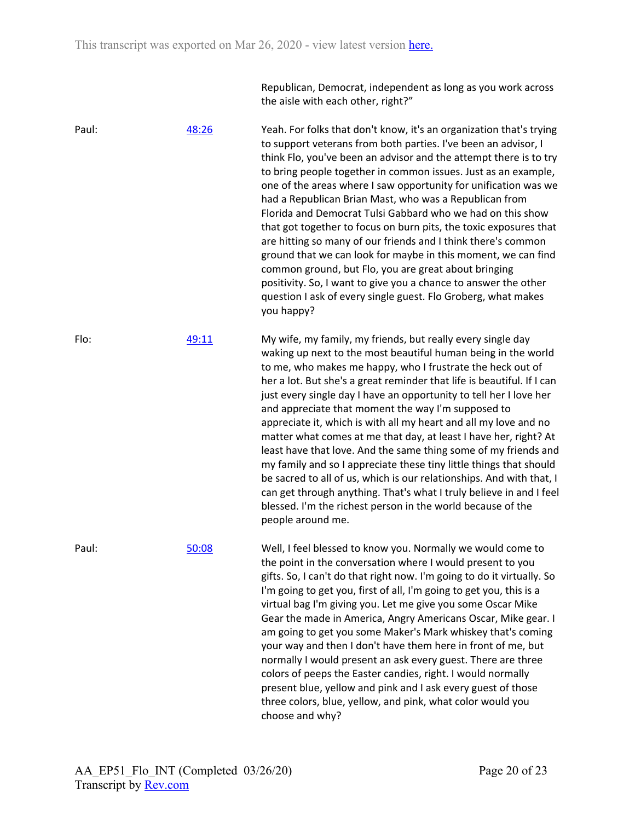Republican, Democrat, independent as long as you work across the aisle with each other, right?"

Paul: [48:26](https://www.rev.com/transcript-editor/Edit?token=iwnJoGl_tibqjgbOmr4UuyOjHO11b4qIjWm4KWbLSMpQ1zTZXuBW60DSc3bnuDzXYmbi31manyZgn0Mo6B--cN2EvhQ&loadFrom=DocumentDeeplink&ts=2906.2) Yeah. For folks that don't know, it's an organization that's trying to support veterans from both parties. I've been an advisor, I think Flo, you've been an advisor and the attempt there is to try to bring people together in common issues. Just as an example, one of the areas where I saw opportunity for unification was we had a Republican Brian Mast, who was a Republican from Florida and Democrat Tulsi Gabbard who we had on this show that got together to focus on burn pits, the toxic exposures that are hitting so many of our friends and I think there's common ground that we can look for maybe in this moment, we can find common ground, but Flo, you are great about bringing positivity. So, I want to give you a chance to answer the other question I ask of every single guest. Flo Groberg, what makes you happy? Flo: [49:11](https://www.rev.com/transcript-editor/Edit?token=lLBkUPYx_vAhei3h3PDPHXpi72MFOxsoIJ-ItE-12FQA2JgysMu5OSArs0oPJeBfdTeaps3vHyEYcANEZKG8kf7UTCs&loadFrom=DocumentDeeplink&ts=2951.88) My wife, my family, my friends, but really every single day waking up next to the most beautiful human being in the world to me, who makes me happy, who I frustrate the heck out of her a lot. But she's a great reminder that life is beautiful. If I can just every single day I have an opportunity to tell her I love her and appreciate that moment the way I'm supposed to appreciate it, which is with all my heart and all my love and no matter what comes at me that day, at least I have her, right? At least have that love. And the same thing some of my friends and my family and so I appreciate these tiny little things that should be sacred to all of us, which is our relationships. And with that, I can get through anything. That's what I truly believe in and I feel blessed. I'm the richest person in the world because of the people around me. Paul: [50:08](https://www.rev.com/transcript-editor/Edit?token=2Q18FytTVS69_ImcwEaAB7o_r14eM8E-gwGEiQsRa7FJKUBRRAefuLxOYJYnlKsCrW4KICIjKNhD0pPnlyYklcmL9DQ&loadFrom=DocumentDeeplink&ts=3008.1) Well, I feel blessed to know you. Normally we would come to the point in the conversation where I would present to you gifts. So, I can't do that right now. I'm going to do it virtually. So I'm going to get you, first of all, I'm going to get you, this is a virtual bag I'm giving you. Let me give you some Oscar Mike Gear the made in America, Angry Americans Oscar, Mike gear. I am going to get you some Maker's Mark whiskey that's coming your way and then I don't have them here in front of me, but normally I would present an ask every guest. There are three colors of peeps the Easter candies, right. I would normally present blue, yellow and pink and I ask every guest of those three colors, blue, yellow, and pink, what color would you choose and why?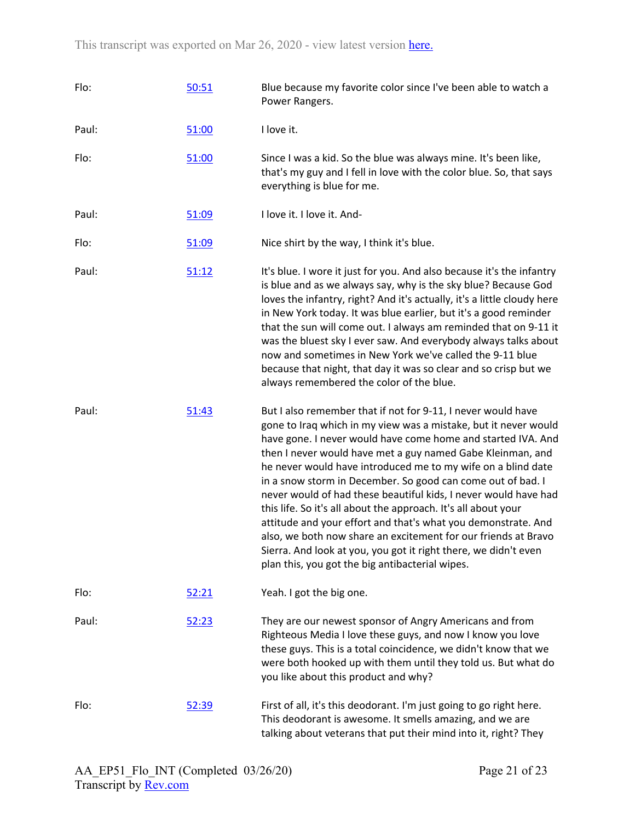| Flo:  | 50:51 | Blue because my favorite color since I've been able to watch a<br>Power Rangers.                                                                                                                                                                                                                                                                                                                                                                                                                                                                                                                                                                                                                                                                                                           |
|-------|-------|--------------------------------------------------------------------------------------------------------------------------------------------------------------------------------------------------------------------------------------------------------------------------------------------------------------------------------------------------------------------------------------------------------------------------------------------------------------------------------------------------------------------------------------------------------------------------------------------------------------------------------------------------------------------------------------------------------------------------------------------------------------------------------------------|
| Paul: | 51:00 | I love it.                                                                                                                                                                                                                                                                                                                                                                                                                                                                                                                                                                                                                                                                                                                                                                                 |
| Flo:  | 51:00 | Since I was a kid. So the blue was always mine. It's been like,<br>that's my guy and I fell in love with the color blue. So, that says<br>everything is blue for me.                                                                                                                                                                                                                                                                                                                                                                                                                                                                                                                                                                                                                       |
| Paul: | 51:09 | I love it. I love it. And-                                                                                                                                                                                                                                                                                                                                                                                                                                                                                                                                                                                                                                                                                                                                                                 |
| Flo:  | 51:09 | Nice shirt by the way, I think it's blue.                                                                                                                                                                                                                                                                                                                                                                                                                                                                                                                                                                                                                                                                                                                                                  |
| Paul: | 51:12 | It's blue. I wore it just for you. And also because it's the infantry<br>is blue and as we always say, why is the sky blue? Because God<br>loves the infantry, right? And it's actually, it's a little cloudy here<br>in New York today. It was blue earlier, but it's a good reminder<br>that the sun will come out. I always am reminded that on 9-11 it<br>was the bluest sky I ever saw. And everybody always talks about<br>now and sometimes in New York we've called the 9-11 blue<br>because that night, that day it was so clear and so crisp but we<br>always remembered the color of the blue.                                                                                                                                                                                  |
| Paul: | 51:43 | But I also remember that if not for 9-11, I never would have<br>gone to Iraq which in my view was a mistake, but it never would<br>have gone. I never would have come home and started IVA. And<br>then I never would have met a guy named Gabe Kleinman, and<br>he never would have introduced me to my wife on a blind date<br>in a snow storm in December. So good can come out of bad. I<br>never would of had these beautiful kids, I never would have had<br>this life. So it's all about the approach. It's all about your<br>attitude and your effort and that's what you demonstrate. And<br>also, we both now share an excitement for our friends at Bravo<br>Sierra. And look at you, you got it right there, we didn't even<br>plan this, you got the big antibacterial wipes. |
| Flo:  | 52:21 | Yeah. I got the big one.                                                                                                                                                                                                                                                                                                                                                                                                                                                                                                                                                                                                                                                                                                                                                                   |
| Paul: | 52:23 | They are our newest sponsor of Angry Americans and from<br>Righteous Media I love these guys, and now I know you love<br>these guys. This is a total coincidence, we didn't know that we<br>were both hooked up with them until they told us. But what do<br>you like about this product and why?                                                                                                                                                                                                                                                                                                                                                                                                                                                                                          |
| Flo:  | 52:39 | First of all, it's this deodorant. I'm just going to go right here.<br>This deodorant is awesome. It smells amazing, and we are<br>talking about veterans that put their mind into it, right? They                                                                                                                                                                                                                                                                                                                                                                                                                                                                                                                                                                                         |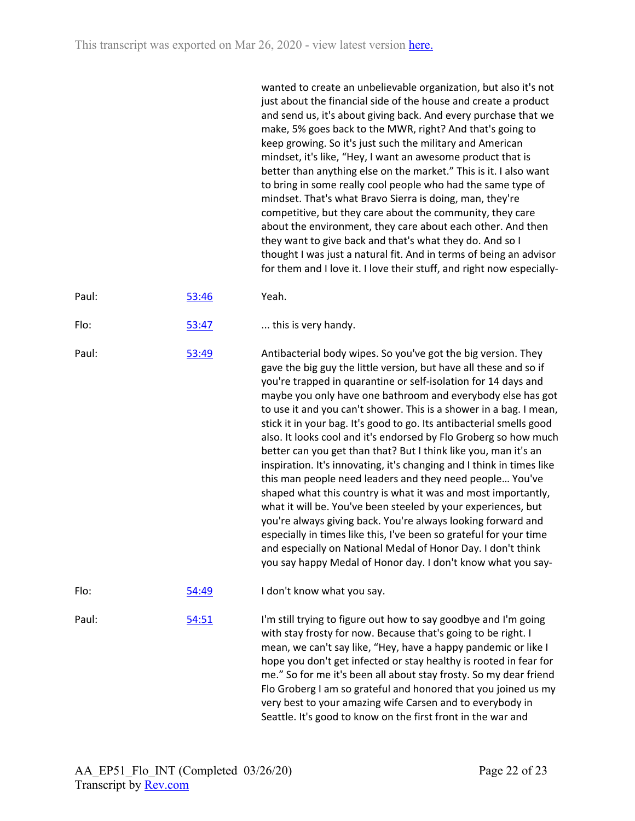|       |       | wanted to create an unbelievable organization, but also it's not<br>just about the financial side of the house and create a product<br>and send us, it's about giving back. And every purchase that we<br>make, 5% goes back to the MWR, right? And that's going to<br>keep growing. So it's just such the military and American<br>mindset, it's like, "Hey, I want an awesome product that is<br>better than anything else on the market." This is it. I also want<br>to bring in some really cool people who had the same type of<br>mindset. That's what Bravo Sierra is doing, man, they're<br>competitive, but they care about the community, they care<br>about the environment, they care about each other. And then<br>they want to give back and that's what they do. And so I<br>thought I was just a natural fit. And in terms of being an advisor<br>for them and I love it. I love their stuff, and right now especially-                                                                                                                                                               |
|-------|-------|-------------------------------------------------------------------------------------------------------------------------------------------------------------------------------------------------------------------------------------------------------------------------------------------------------------------------------------------------------------------------------------------------------------------------------------------------------------------------------------------------------------------------------------------------------------------------------------------------------------------------------------------------------------------------------------------------------------------------------------------------------------------------------------------------------------------------------------------------------------------------------------------------------------------------------------------------------------------------------------------------------------------------------------------------------------------------------------------------------|
| Paul: | 53:46 | Yeah.                                                                                                                                                                                                                                                                                                                                                                                                                                                                                                                                                                                                                                                                                                                                                                                                                                                                                                                                                                                                                                                                                                 |
| Flo:  | 53:47 | this is very handy.                                                                                                                                                                                                                                                                                                                                                                                                                                                                                                                                                                                                                                                                                                                                                                                                                                                                                                                                                                                                                                                                                   |
| Paul: | 53:49 | Antibacterial body wipes. So you've got the big version. They<br>gave the big guy the little version, but have all these and so if<br>you're trapped in quarantine or self-isolation for 14 days and<br>maybe you only have one bathroom and everybody else has got<br>to use it and you can't shower. This is a shower in a bag. I mean,<br>stick it in your bag. It's good to go. Its antibacterial smells good<br>also. It looks cool and it's endorsed by Flo Groberg so how much<br>better can you get than that? But I think like you, man it's an<br>inspiration. It's innovating, it's changing and I think in times like<br>this man people need leaders and they need people You've<br>shaped what this country is what it was and most importantly,<br>what it will be. You've been steeled by your experiences, but<br>you're always giving back. You're always looking forward and<br>especially in times like this, I've been so grateful for your time<br>and especially on National Medal of Honor Day. I don't think<br>you say happy Medal of Honor day. I don't know what you say- |
| Flo:  | 54:49 | I don't know what you say.                                                                                                                                                                                                                                                                                                                                                                                                                                                                                                                                                                                                                                                                                                                                                                                                                                                                                                                                                                                                                                                                            |
| Paul: | 54:51 | I'm still trying to figure out how to say goodbye and I'm going<br>with stay frosty for now. Because that's going to be right. I<br>mean, we can't say like, "Hey, have a happy pandemic or like I<br>hope you don't get infected or stay healthy is rooted in fear for<br>me." So for me it's been all about stay frosty. So my dear friend<br>Flo Groberg I am so grateful and honored that you joined us my<br>very best to your amazing wife Carsen and to everybody in<br>Seattle. It's good to know on the first front in the war and                                                                                                                                                                                                                                                                                                                                                                                                                                                                                                                                                           |